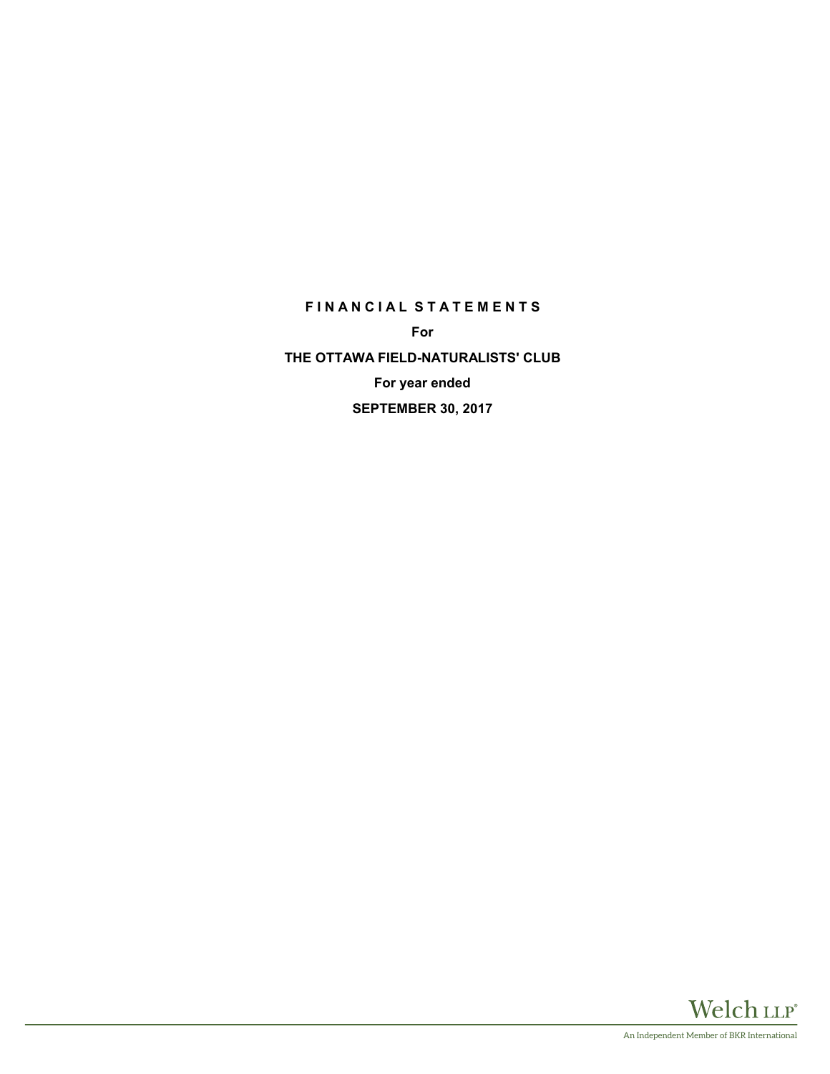## **F I N A N C I A L S T A T E M E N T S**

**For**

**THE OTTAWA FIELD-NATURALISTS' CLUB For year ended SEPTEMBER 30, 2017**

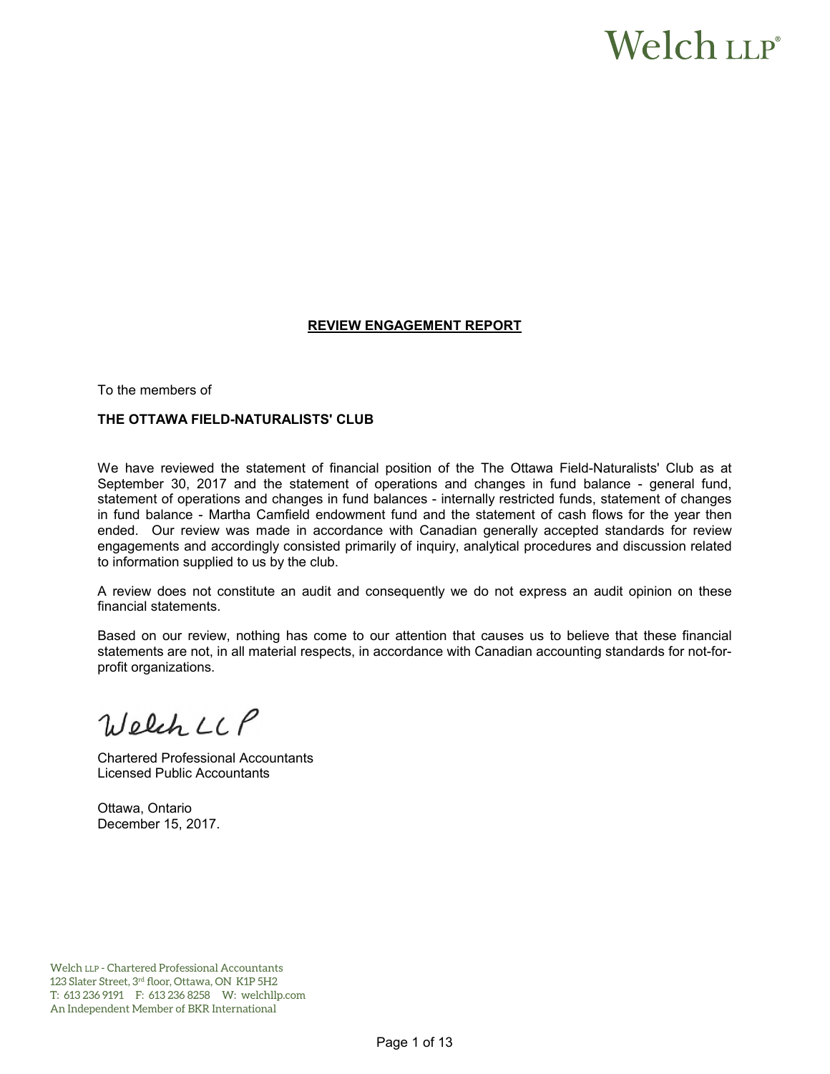# Welch LLP®

#### **REVIEW ENGAGEMENT REPORT**

To the members of

#### **THE OTTAWA FIELD-NATURALISTS' CLUB**

We have reviewed the statement of financial position of the The Ottawa Field-Naturalists' Club as at September 30, 2017 and the statement of operations and changes in fund balance - general fund, statement of operations and changes in fund balances - internally restricted funds, statement of changes in fund balance - Martha Camfield endowment fund and the statement of cash flows for the year then ended. Our review was made in accordance with Canadian generally accepted standards for review engagements and accordingly consisted primarily of inquiry, analytical procedures and discussion related to information supplied to us by the club.

A review does not constitute an audit and consequently we do not express an audit opinion on these financial statements.

Based on our review, nothing has come to our attention that causes us to believe that these financial statements are not, in all material respects, in accordance with Canadian accounting standards for not-forprofit organizations.

Welch LCP

Chartered Professional Accountants Licensed Public Accountants

Ottawa, Ontario December 15, 2017.

Welch LLP - Chartered Professional Accountants 123 Slater Street, 3rd floor, Ottawa, ON K1P 5H2 T: 613 236 9191 F: 613 236 8258 W: welchllp.com An Independent Member of BKR International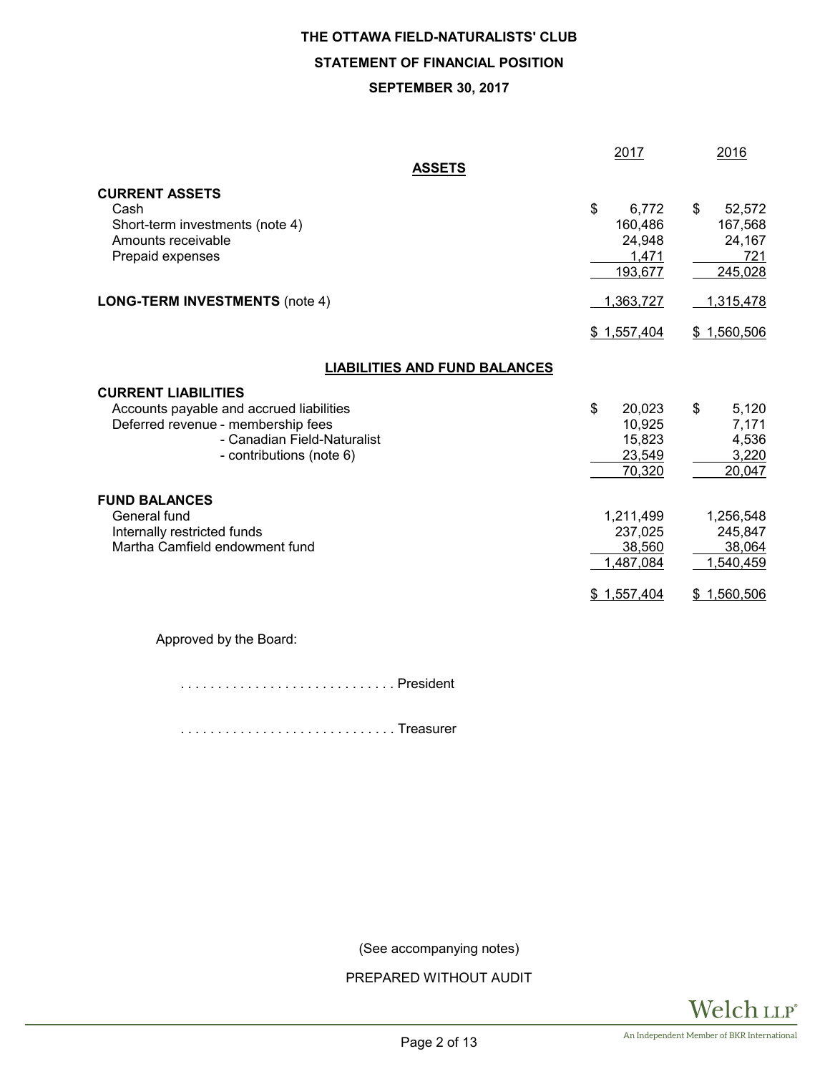# **THE OTTAWA FIELD-NATURALISTS' CLUB STATEMENT OF FINANCIAL POSITION SEPTEMBER 30, 2017**

| <b>ASSETS</b>                                                                                                                                                           | 2017                                                       | 2016                                                       |
|-------------------------------------------------------------------------------------------------------------------------------------------------------------------------|------------------------------------------------------------|------------------------------------------------------------|
|                                                                                                                                                                         |                                                            |                                                            |
| <b>CURRENT ASSETS</b><br>Cash<br>Short-term investments (note 4)<br>Amounts receivable                                                                                  | \$<br>6,772<br>160,486<br>24,948                           | \$<br>52,572<br>167,568<br>24,167                          |
| Prepaid expenses                                                                                                                                                        | 1,471<br>193,677                                           | 721<br>245,028                                             |
| <b>LONG-TERM INVESTMENTS (note 4)</b>                                                                                                                                   | 1,363,727                                                  | 1,315,478                                                  |
|                                                                                                                                                                         | \$1,557,404                                                | \$1,560,506                                                |
| <b>LIABILITIES AND FUND BALANCES</b>                                                                                                                                    |                                                            |                                                            |
| <b>CURRENT LIABILITIES</b><br>Accounts payable and accrued liabilities<br>Deferred revenue - membership fees<br>- Canadian Field-Naturalist<br>- contributions (note 6) | \$<br>20,023<br>10,925<br>15,823<br>23,549<br>70,320       | \$<br>5,120<br>7,171<br>4,536<br>3,220<br>20,047           |
| <b>FUND BALANCES</b><br>General fund<br>Internally restricted funds<br>Martha Camfield endowment fund                                                                   | 1,211,499<br>237,025<br>38,560<br>1,487,084<br>\$1,557,404 | 1,256,548<br>245,847<br>38,064<br>1,540,459<br>\$1,560,506 |

Approved by the Board:

. . . . . . . . . . . . . . . . . . . . . . . . . . . . . President

. . . . . . . . . . . . . . . . . . . . . . . . . . . . . Treasurer

(See accompanying notes)

PREPARED WITHOUT AUDIT

Welch LLP®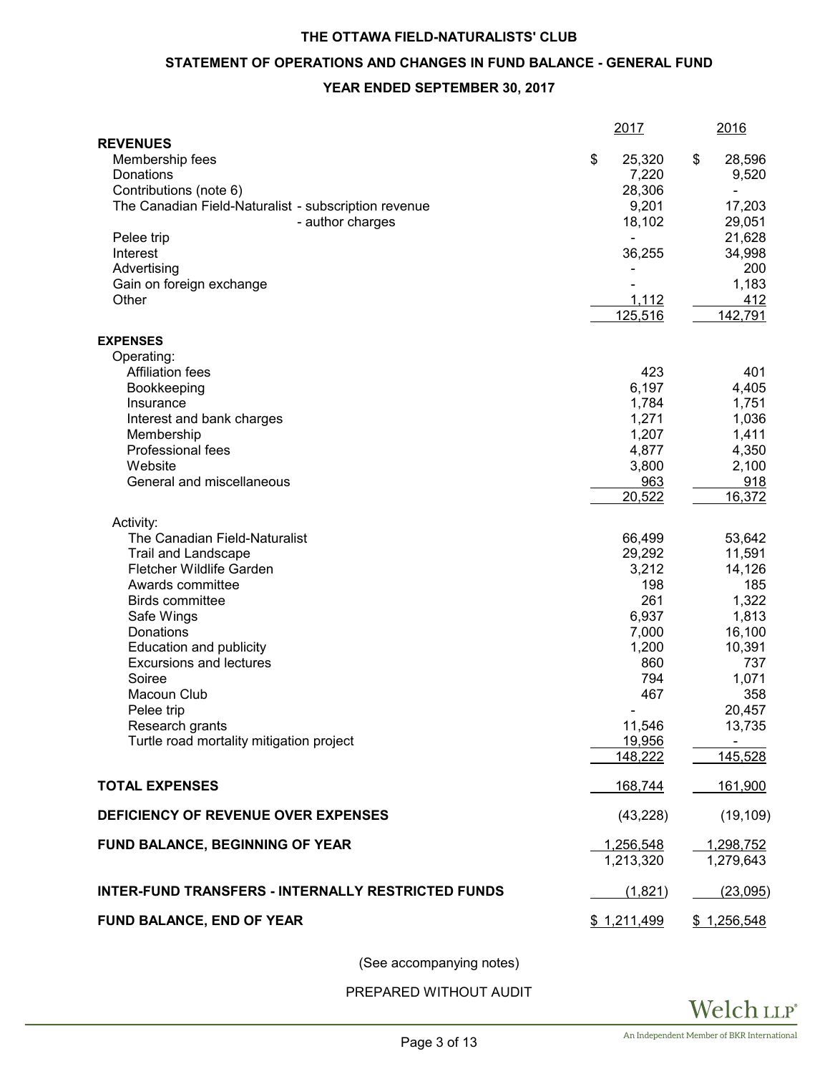## **STATEMENT OF OPERATIONS AND CHANGES IN FUND BALANCE - GENERAL FUND**

#### **YEAR ENDED SEPTEMBER 30, 2017**

|                                                           | 2017           | 2016          |
|-----------------------------------------------------------|----------------|---------------|
| <b>REVENUES</b>                                           |                |               |
| Membership fees                                           | \$<br>25,320   | \$<br>28,596  |
| Donations                                                 | 7,220          | 9,520         |
| Contributions (note 6)                                    | 28,306         |               |
| The Canadian Field-Naturalist - subscription revenue      | 9,201          | 17,203        |
| - author charges                                          | 18,102         | 29,051        |
| Pelee trip                                                | $\blacksquare$ | 21,628        |
| Interest                                                  | 36,255         | 34,998        |
| Advertising                                               |                | 200           |
| Gain on foreign exchange                                  |                | 1,183         |
| Other                                                     | 1,112          | 412           |
|                                                           | 125,516        | 142,791       |
| <b>EXPENSES</b>                                           |                |               |
| Operating:                                                |                |               |
| Affiliation fees                                          | 423            | 401           |
| Bookkeeping                                               | 6,197          | 4,405         |
| Insurance                                                 | 1,784          | 1,751         |
| Interest and bank charges                                 | 1,271          | 1,036         |
| Membership                                                | 1,207          | 1,411         |
| Professional fees                                         | 4,877          | 4,350         |
| Website                                                   | 3,800          | 2,100         |
| General and miscellaneous                                 |                |               |
|                                                           | 963<br>20,522  | 918<br>16,372 |
|                                                           |                |               |
| Activity:                                                 |                |               |
| The Canadian Field-Naturalist                             | 66,499         | 53,642        |
| Trail and Landscape                                       | 29,292         | 11,591        |
| Fletcher Wildlife Garden                                  | 3,212          | 14,126        |
| Awards committee                                          | 198            | 185           |
| Birds committee                                           | 261            | 1,322         |
| Safe Wings                                                | 6,937          | 1,813         |
| Donations                                                 | 7,000          | 16,100        |
| Education and publicity                                   | 1,200          | 10,391        |
| <b>Excursions and lectures</b>                            | 860            | 737           |
| Soiree                                                    | 794            | 1,071         |
| Macoun Club                                               | 467            | 358           |
| Pelee trip                                                |                | 20,457        |
| Research grants                                           | 11,546         | 13,735        |
| Turtle road mortality mitigation project                  | 19,956         |               |
|                                                           | 148,222        | 145,528       |
|                                                           |                |               |
| <b>TOTAL EXPENSES</b>                                     | 168,744        | 161,900       |
| DEFICIENCY OF REVENUE OVER EXPENSES                       | (43, 228)      | (19, 109)     |
| <b>FUND BALANCE, BEGINNING OF YEAR</b>                    | 1,256,548      | 1,298,752     |
|                                                           | 1,213,320      | 1,279,643     |
| <b>INTER-FUND TRANSFERS - INTERNALLY RESTRICTED FUNDS</b> | (1,821)        | (23,095)      |
|                                                           |                |               |
| FUND BALANCE, END OF YEAR                                 | \$1,211,499    | \$1,256,548   |

(See accompanying notes)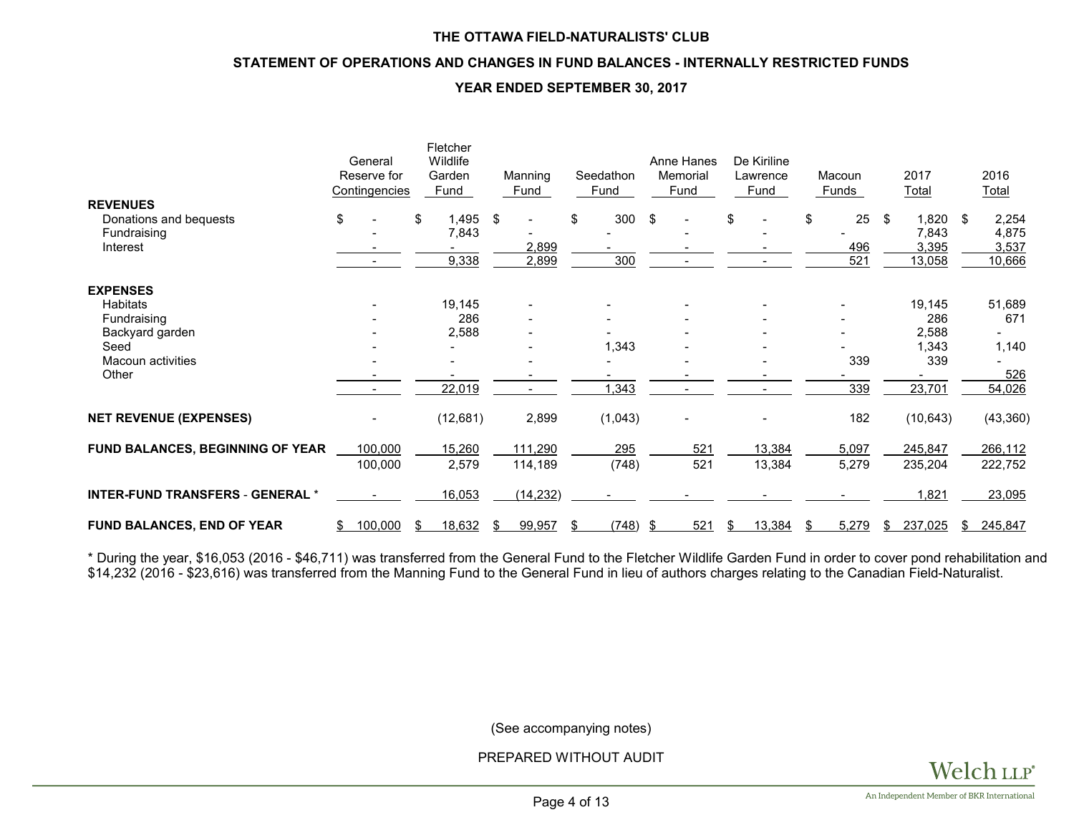#### **STATEMENT OF OPERATIONS AND CHANGES IN FUND BALANCES - INTERNALLY RESTRICTED FUNDS**

#### **YEAR ENDED SEPTEMBER 30, 2017**

|                                           | General<br>Reserve for<br>Contingencies | Fletcher<br>Wildlife<br>Garden<br>Fund | Manning<br>Fund | Seedathon<br>Fund | Anne Hanes<br>Memorial<br><b>Fund</b> | De Kiriline<br>Lawrence<br>Fund | Macoun<br><b>Funds</b> | 2017<br><b>Total</b> | 2016<br><b>Total</b> |
|-------------------------------------------|-----------------------------------------|----------------------------------------|-----------------|-------------------|---------------------------------------|---------------------------------|------------------------|----------------------|----------------------|
| <b>REVENUES</b><br>Donations and bequests | \$                                      | \$<br>1,495                            | \$              | \$<br>300         | \$                                    | \$                              | 25<br>\$               | \$<br>1,820          | 2,254<br>- \$        |
| Fundraising                               |                                         | 7,843                                  |                 |                   |                                       |                                 |                        | 7,843                | 4,875                |
| Interest                                  |                                         |                                        | 2,899           |                   |                                       |                                 | 496                    | 3,395                | 3,537                |
|                                           |                                         | 9,338                                  | 2,899           | 300               |                                       |                                 | 521                    | 13,058               | 10,666               |
| <b>EXPENSES</b>                           |                                         |                                        |                 |                   |                                       |                                 |                        |                      |                      |
| Habitats                                  |                                         | 19,145                                 |                 |                   |                                       |                                 |                        | 19,145               | 51,689               |
| Fundraising                               |                                         | 286                                    |                 |                   |                                       |                                 |                        | 286                  | 671                  |
| Backyard garden                           |                                         | 2,588                                  |                 |                   |                                       |                                 |                        | 2,588                |                      |
| Seed                                      |                                         |                                        |                 | 1,343             |                                       |                                 |                        | 1,343                | 1,140                |
| Macoun activities                         |                                         |                                        |                 |                   |                                       |                                 | 339                    | 339                  |                      |
| Other                                     |                                         |                                        |                 |                   |                                       |                                 |                        |                      | 526                  |
|                                           |                                         | 22,019                                 |                 | 1,343             |                                       |                                 | 339                    | 23,701               | 54,026               |
| <b>NET REVENUE (EXPENSES)</b>             |                                         | (12,681)                               | 2,899           | (1,043)           |                                       |                                 | 182                    | (10, 643)            | (43, 360)            |
| FUND BALANCES, BEGINNING OF YEAR          | 100,000                                 | 15,260                                 | 111,290         | 295               | 521                                   | 13,384                          | 5,097                  | 245,847              | 266,112              |
|                                           | 100,000                                 | 2,579                                  | 114,189         | (748)             | 521                                   | 13,384                          | 5,279                  | 235,204              | 222,752              |
| <b>INTER-FUND TRANSFERS - GENERAL *</b>   |                                         | 16,053                                 | (14, 232)       |                   |                                       |                                 |                        | 1,821                | 23,095               |
| <b>FUND BALANCES, END OF YEAR</b>         | 100,000<br>\$.                          | 18,632<br>\$                           | 99,957<br>S     | (748)<br>\$       | 521<br>-\$                            | 13,384<br>\$                    | 5,279<br>\$            | \$<br>237,025        | 245,847<br>\$        |

\* During the year, \$16,053 (2016 - \$46,711) was transferred from the General Fund to the Fletcher Wildlife Garden Fund in order to cover pond rehabilitation and \$14,232 (2016 - \$23,616) was transferred from the Manning Fund to the General Fund in lieu of authors charges relating to the Canadian Field-Naturalist.

(See accompanying notes)

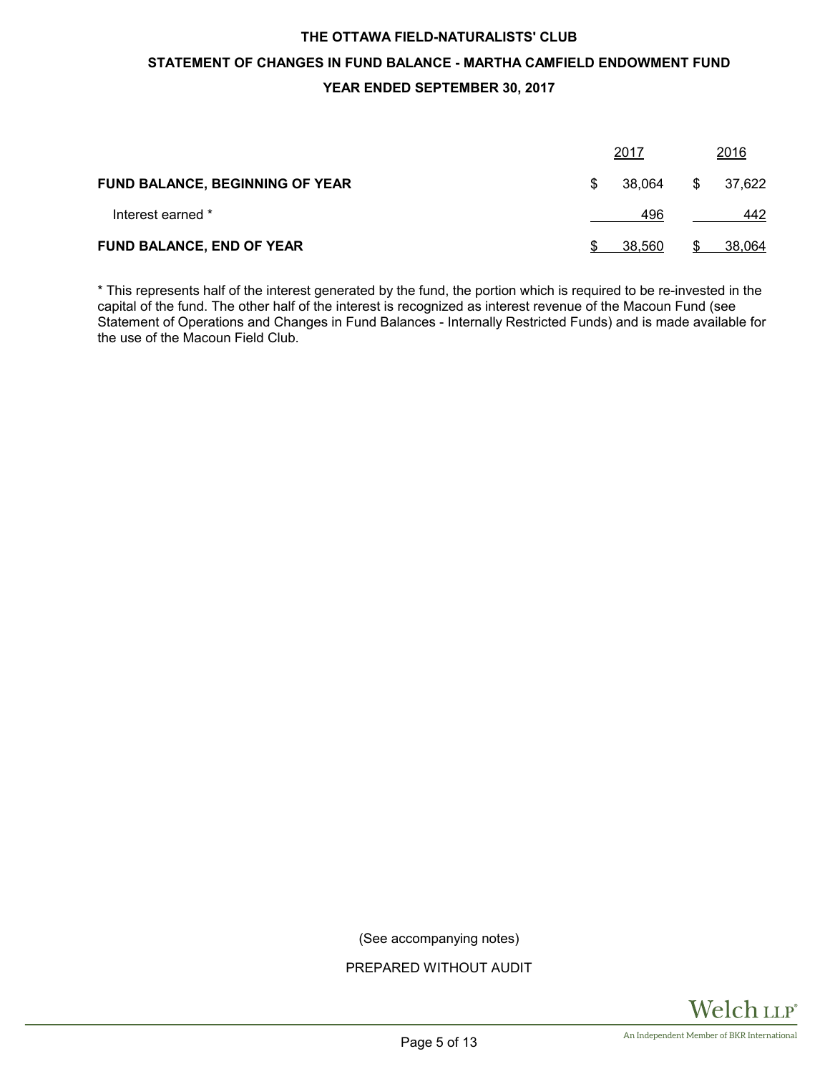# **STATEMENT OF CHANGES IN FUND BALANCE - MARTHA CAMFIELD ENDOWMENT FUND**

## **YEAR ENDED SEPTEMBER 30, 2017**

|                                        |     | 2017   |    | 2016   |
|----------------------------------------|-----|--------|----|--------|
| <b>FUND BALANCE, BEGINNING OF YEAR</b> | \$. | 38.064 | S. | 37,622 |
| Interest earned *                      |     | 496    |    | 442    |
| <b>FUND BALANCE, END OF YEAR</b>       |     | 38.560 |    | 38.064 |

\* This represents half of the interest generated by the fund, the portion which is required to be re-invested in the capital of the fund. The other half of the interest is recognized as interest revenue of the Macoun Fund (see Statement of Operations and Changes in Fund Balances - Internally Restricted Funds) and is made available for the use of the Macoun Field Club.

(See accompanying notes)

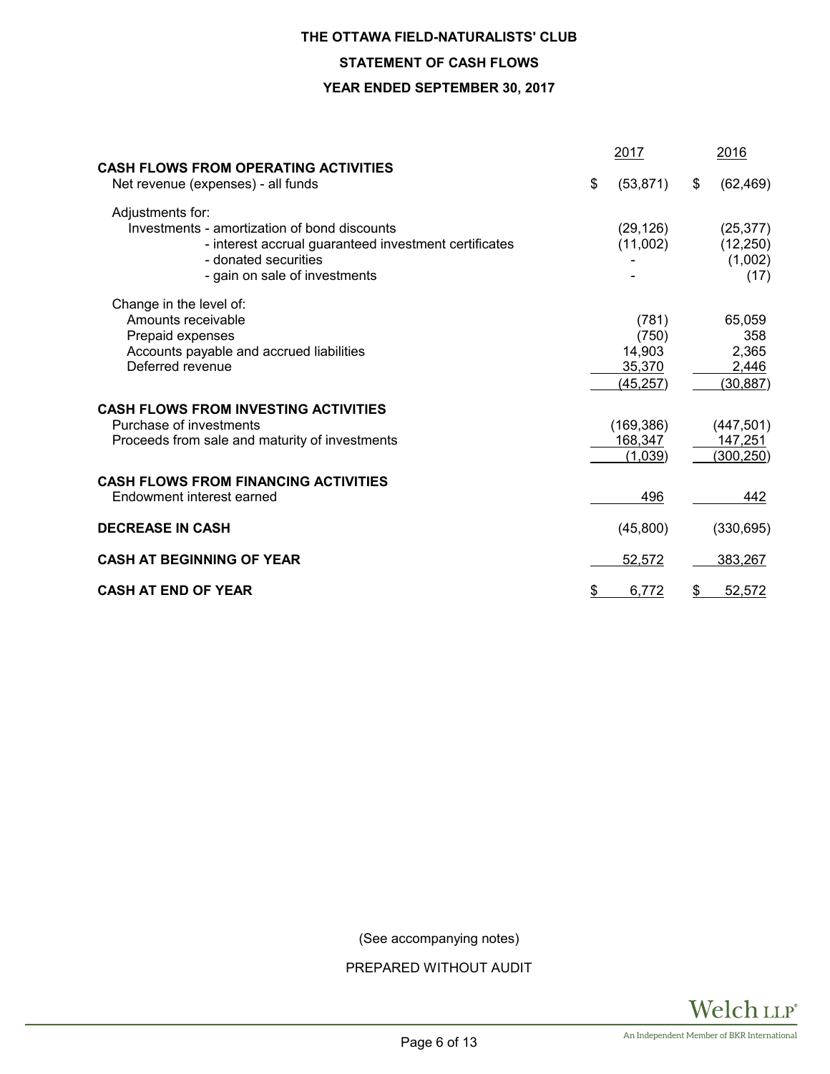## **STATEMENT OF CASH FLOWS**

## **YEAR ENDED SEPTEMBER 30, 2017**

|                                                                                   | 2017            |                           | 2016            |
|-----------------------------------------------------------------------------------|-----------------|---------------------------|-----------------|
| <b>CASH FLOWS FROM OPERATING ACTIVITIES</b><br>Net revenue (expenses) - all funds | \$<br>(53, 871) | $\boldsymbol{\mathsf{S}}$ | (62, 469)       |
| Adjustments for:                                                                  |                 |                           |                 |
| Investments - amortization of bond discounts                                      | (29, 126)       |                           | (25, 377)       |
| - interest accrual guaranteed investment certificates<br>- donated securities     | (11,002)        |                           | (12, 250)       |
| - gain on sale of investments                                                     |                 |                           | (1,002)<br>(17) |
| Change in the level of:                                                           |                 |                           |                 |
| Amounts receivable                                                                | (781)           |                           | 65,059          |
| Prepaid expenses                                                                  | (750)           |                           | 358             |
| Accounts payable and accrued liabilities                                          | 14,903          |                           | 2,365           |
| Deferred revenue                                                                  | 35,370          |                           | 2,446           |
|                                                                                   | (45, 257)       |                           | (30, 887)       |
| <b>CASH FLOWS FROM INVESTING ACTIVITIES</b>                                       |                 |                           |                 |
| Purchase of investments                                                           | (169, 386)      |                           | (447, 501)      |
| Proceeds from sale and maturity of investments                                    | 168,347         |                           | 147,251         |
|                                                                                   | (1,039)         |                           | (300, 250)      |
| <b>CASH FLOWS FROM FINANCING ACTIVITIES</b>                                       |                 |                           |                 |
| Endowment interest earned                                                         | 496             |                           | 442             |
| <b>DECREASE IN CASH</b>                                                           | (45,800)        |                           | (330, 695)      |
| <b>CASH AT BEGINNING OF YEAR</b>                                                  | 52,572          |                           | 383,267         |
| <b>CASH AT END OF YEAR</b>                                                        | \$<br>6,772     | \$                        | 52,572          |

(See accompanying notes)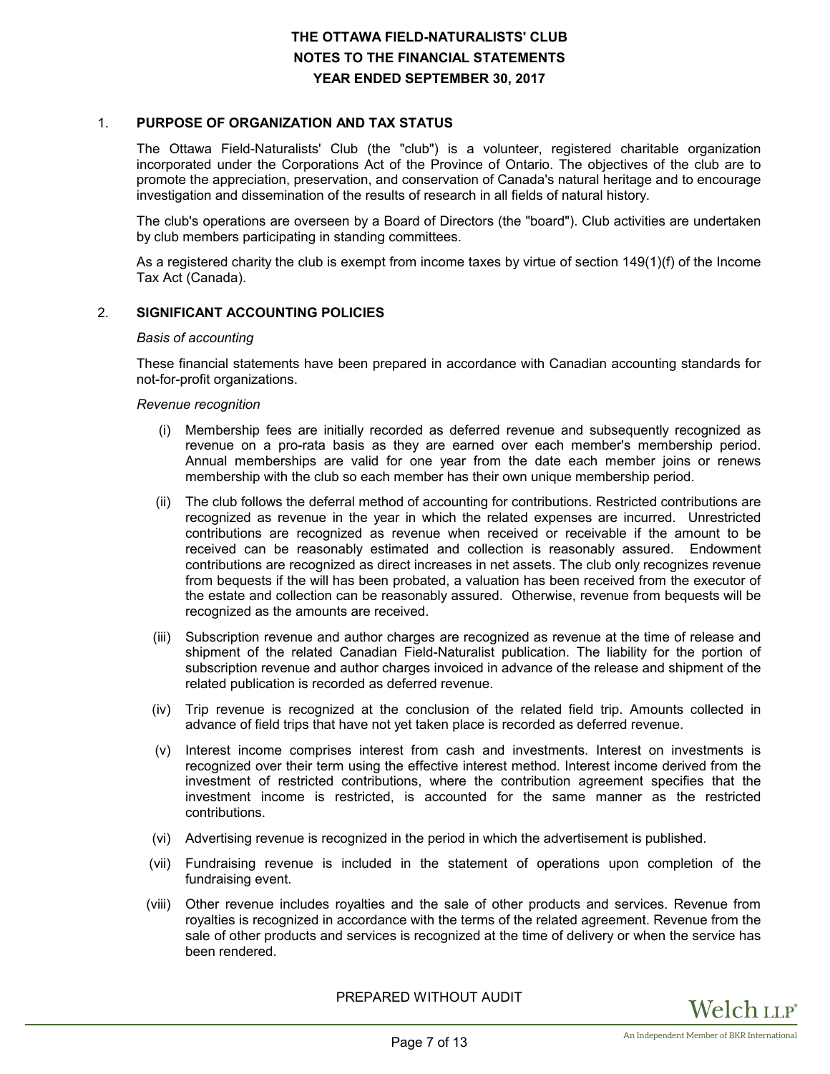#### 1. **PURPOSE OF ORGANIZATION AND TAX STATUS**

The Ottawa Field-Naturalists' Club (the "club") is a volunteer, registered charitable organization incorporated under the Corporations Act of the Province of Ontario. The objectives of the club are to promote the appreciation, preservation, and conservation of Canada's natural heritage and to encourage investigation and dissemination of the results of research in all fields of natural history.

The club's operations are overseen by a Board of Directors (the "board"). Club activities are undertaken by club members participating in standing committees.

As a registered charity the club is exempt from income taxes by virtue of section 149(1)(f) of the Income Tax Act (Canada).

#### 2. **SIGNIFICANT ACCOUNTING POLICIES**

#### *Basis of accounting*

These financial statements have been prepared in accordance with Canadian accounting standards for not-for-profit organizations.

#### *Revenue recognition*

- (i) Membership fees are initially recorded as deferred revenue and subsequently recognized as revenue on a pro-rata basis as they are earned over each member's membership period. Annual memberships are valid for one year from the date each member joins or renews membership with the club so each member has their own unique membership period.
- (ii) The club follows the deferral method of accounting for contributions. Restricted contributions are recognized as revenue in the year in which the related expenses are incurred. Unrestricted contributions are recognized as revenue when received or receivable if the amount to be received can be reasonably estimated and collection is reasonably assured. Endowment contributions are recognized as direct increases in net assets. The club only recognizes revenue from bequests if the will has been probated, a valuation has been received from the executor of the estate and collection can be reasonably assured. Otherwise, revenue from bequests will be recognized as the amounts are received.
- (iii) Subscription revenue and author charges are recognized as revenue at the time of release and shipment of the related Canadian Field-Naturalist publication. The liability for the portion of subscription revenue and author charges invoiced in advance of the release and shipment of the related publication is recorded as deferred revenue.
- (iv) Trip revenue is recognized at the conclusion of the related field trip. Amounts collected in advance of field trips that have not yet taken place is recorded as deferred revenue.
- (v) Interest income comprises interest from cash and investments. Interest on investments is recognized over their term using the effective interest method. Interest income derived from the investment of restricted contributions, where the contribution agreement specifies that the investment income is restricted, is accounted for the same manner as the restricted contributions.
- (vi) Advertising revenue is recognized in the period in which the advertisement is published.
- (vii) Fundraising revenue is included in the statement of operations upon completion of the fundraising event.
- (viii) Other revenue includes royalties and the sale of other products and services. Revenue from royalties is recognized in accordance with the terms of the related agreement. Revenue from the sale of other products and services is recognized at the time of delivery or when the service has been rendered.

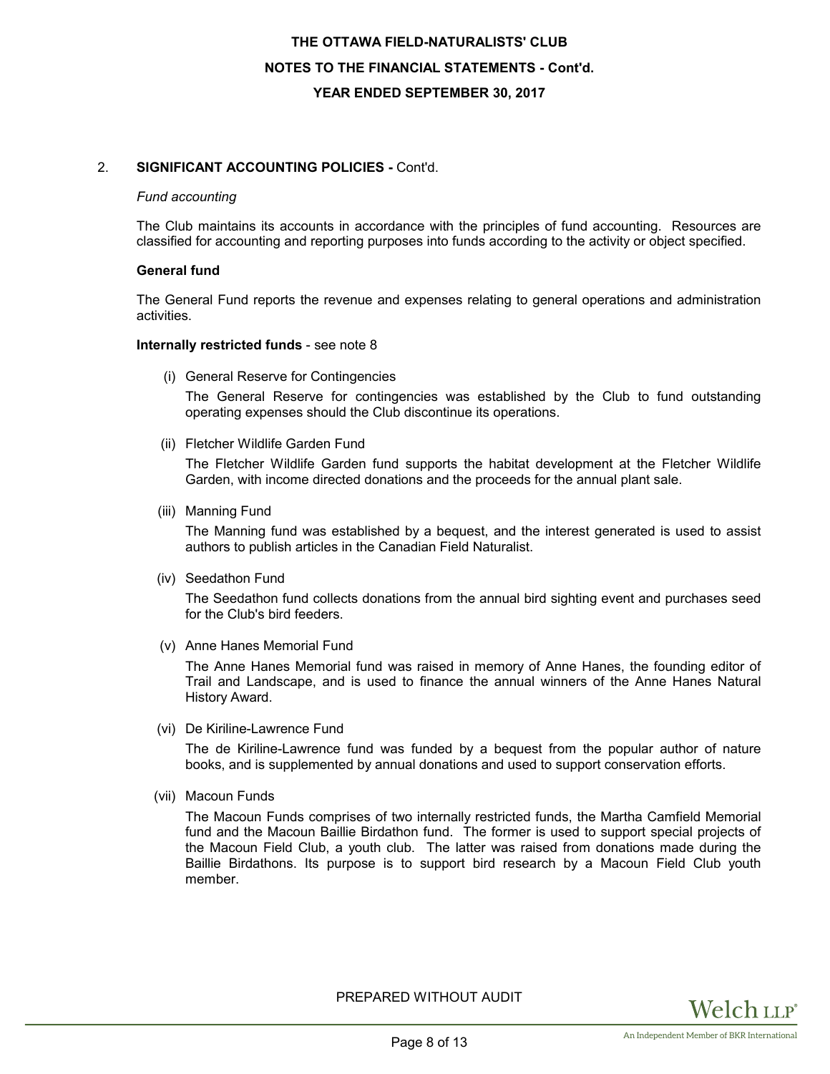#### 2. **SIGNIFICANT ACCOUNTING POLICIES -** Cont'd.

#### *Fund accounting*

The Club maintains its accounts in accordance with the principles of fund accounting. Resources are classified for accounting and reporting purposes into funds according to the activity or object specified.

#### **General fund**

The General Fund reports the revenue and expenses relating to general operations and administration activities.

#### **Internally restricted funds** - see note 8

(i) General Reserve for Contingencies

The General Reserve for contingencies was established by the Club to fund outstanding operating expenses should the Club discontinue its operations.

(ii) Fletcher Wildlife Garden Fund

The Fletcher Wildlife Garden fund supports the habitat development at the Fletcher Wildlife Garden, with income directed donations and the proceeds for the annual plant sale.

(iii) Manning Fund

The Manning fund was established by a bequest, and the interest generated is used to assist authors to publish articles in the Canadian Field Naturalist.

(iv) Seedathon Fund

The Seedathon fund collects donations from the annual bird sighting event and purchases seed for the Club's bird feeders.

(v) Anne Hanes Memorial Fund

The Anne Hanes Memorial fund was raised in memory of Anne Hanes, the founding editor of Trail and Landscape, and is used to finance the annual winners of the Anne Hanes Natural History Award.

(vi) De Kiriline-Lawrence Fund

The de Kiriline-Lawrence fund was funded by a bequest from the popular author of nature books, and is supplemented by annual donations and used to support conservation efforts.

(vii) Macoun Funds

The Macoun Funds comprises of two internally restricted funds, the Martha Camfield Memorial fund and the Macoun Baillie Birdathon fund. The former is used to support special projects of the Macoun Field Club, a youth club. The latter was raised from donations made during the Baillie Birdathons. Its purpose is to support bird research by a Macoun Field Club youth member.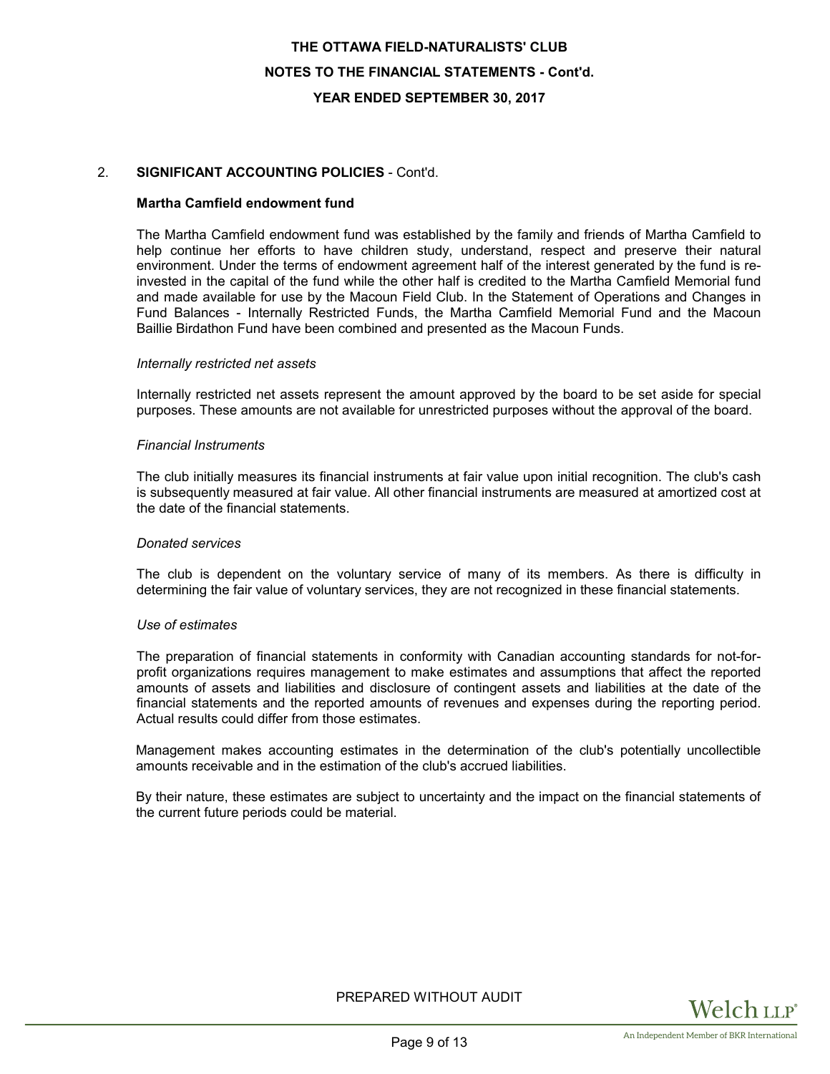#### 2. **SIGNIFICANT ACCOUNTING POLICIES** - Cont'd.

#### **Martha Camfield endowment fund**

The Martha Camfield endowment fund was established by the family and friends of Martha Camfield to help continue her efforts to have children study, understand, respect and preserve their natural environment. Under the terms of endowment agreement half of the interest generated by the fund is reinvested in the capital of the fund while the other half is credited to the Martha Camfield Memorial fund and made available for use by the Macoun Field Club. In the Statement of Operations and Changes in Fund Balances - Internally Restricted Funds, the Martha Camfield Memorial Fund and the Macoun Baillie Birdathon Fund have been combined and presented as the Macoun Funds.

#### *Internally restricted net assets*

Internally restricted net assets represent the amount approved by the board to be set aside for special purposes. These amounts are not available for unrestricted purposes without the approval of the board.

#### *Financial Instruments*

The club initially measures its financial instruments at fair value upon initial recognition. The club's cash is subsequently measured at fair value. All other financial instruments are measured at amortized cost at the date of the financial statements.

#### *Donated services*

The club is dependent on the voluntary service of many of its members. As there is difficulty in determining the fair value of voluntary services, they are not recognized in these financial statements.

#### *Use of estimates*

The preparation of financial statements in conformity with Canadian accounting standards for not-forprofit organizations requires management to make estimates and assumptions that affect the reported amounts of assets and liabilities and disclosure of contingent assets and liabilities at the date of the financial statements and the reported amounts of revenues and expenses during the reporting period. Actual results could differ from those estimates.

Management makes accounting estimates in the determination of the club's potentially uncollectible amounts receivable and in the estimation of the club's accrued liabilities.

By their nature, these estimates are subject to uncertainty and the impact on the financial statements of the current future periods could be material.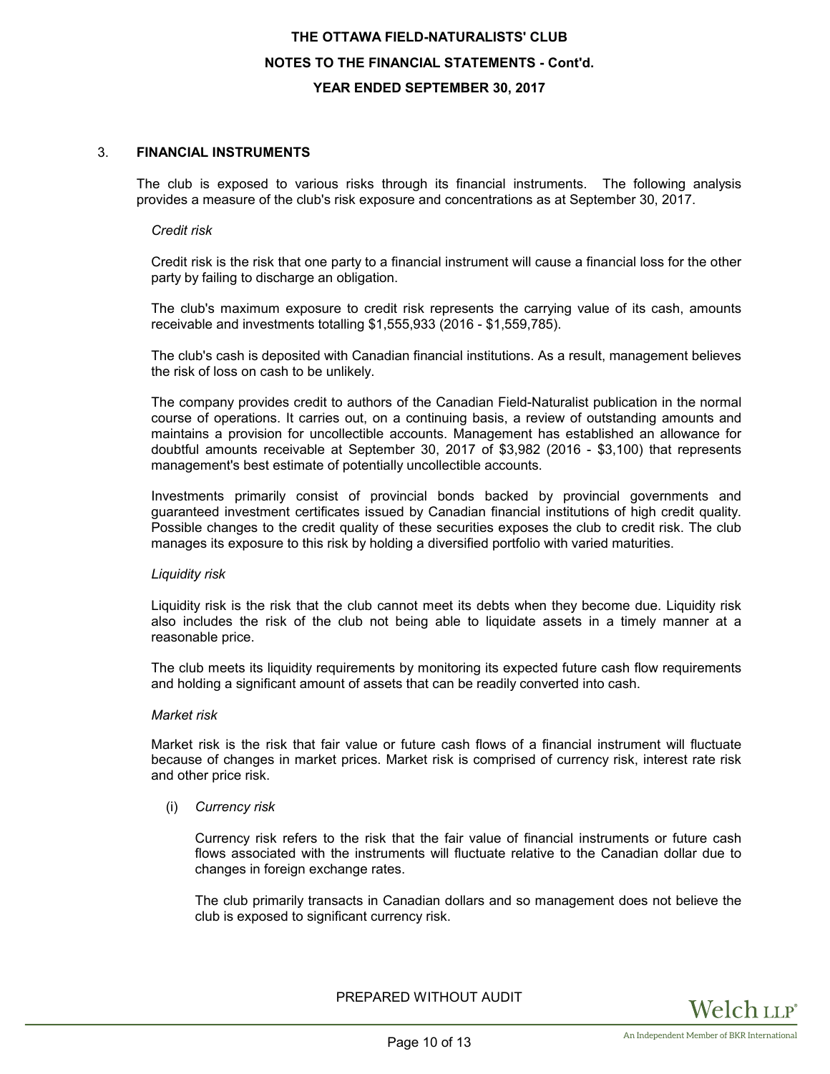#### 3. **FINANCIAL INSTRUMENTS**

The club is exposed to various risks through its financial instruments. The following analysis provides a measure of the club's risk exposure and concentrations as at September 30, 2017.

#### *Credit risk*

Credit risk is the risk that one party to a financial instrument will cause a financial loss for the other party by failing to discharge an obligation.

The club's maximum exposure to credit risk represents the carrying value of its cash, amounts receivable and investments totalling \$1,555,933 (2016 - \$1,559,785).

The club's cash is deposited with Canadian financial institutions. As a result, management believes the risk of loss on cash to be unlikely.

The company provides credit to authors of the Canadian Field-Naturalist publication in the normal course of operations. It carries out, on a continuing basis, a review of outstanding amounts and maintains a provision for uncollectible accounts. Management has established an allowance for doubtful amounts receivable at September 30, 2017 of \$3,982 (2016 - \$3,100) that represents management's best estimate of potentially uncollectible accounts.

Investments primarily consist of provincial bonds backed by provincial governments and guaranteed investment certificates issued by Canadian financial institutions of high credit quality. Possible changes to the credit quality of these securities exposes the club to credit risk. The club manages its exposure to this risk by holding a diversified portfolio with varied maturities.

#### *Liquidity risk*

Liquidity risk is the risk that the club cannot meet its debts when they become due. Liquidity risk also includes the risk of the club not being able to liquidate assets in a timely manner at a reasonable price.

The club meets its liquidity requirements by monitoring its expected future cash flow requirements and holding a significant amount of assets that can be readily converted into cash.

#### *Market risk*

Market risk is the risk that fair value or future cash flows of a financial instrument will fluctuate because of changes in market prices. Market risk is comprised of currency risk, interest rate risk and other price risk.

(i) *Currency risk*

Currency risk refers to the risk that the fair value of financial instruments or future cash flows associated with the instruments will fluctuate relative to the Canadian dollar due to changes in foreign exchange rates.

The club primarily transacts in Canadian dollars and so management does not believe the club is exposed to significant currency risk.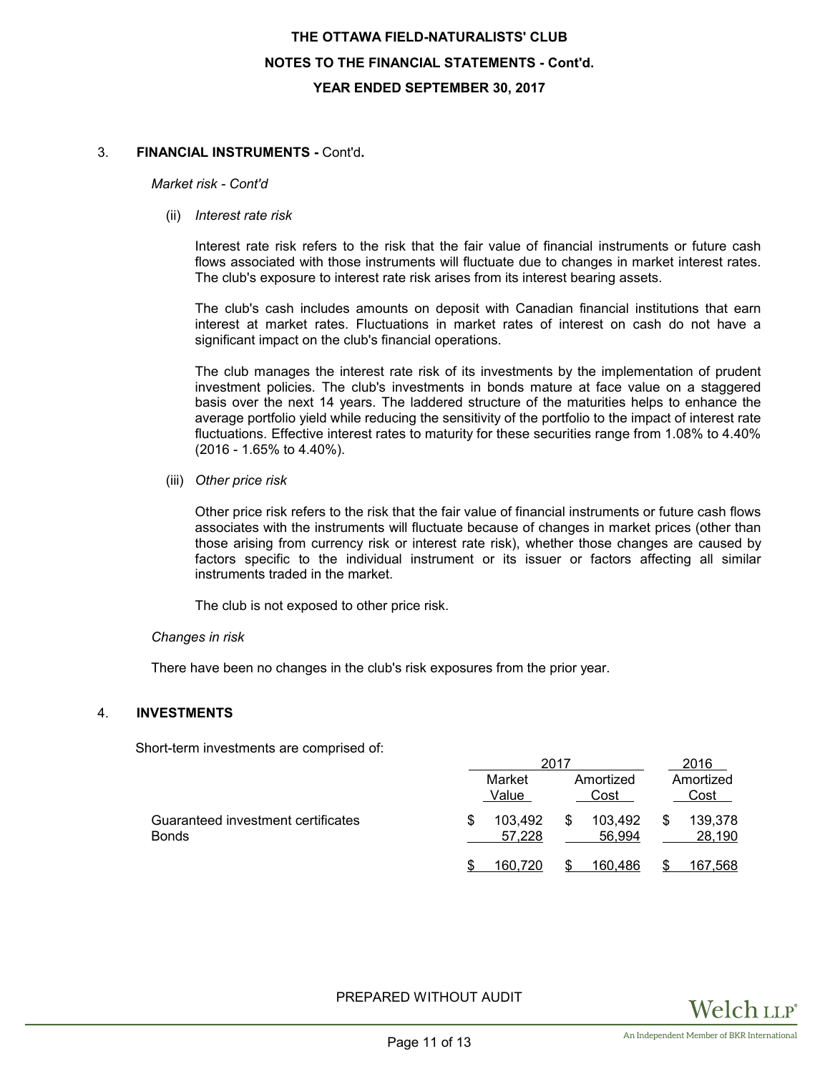#### 3. **FINANCIAL INSTRUMENTS -** Cont'd**.**

*Market risk - Cont'd*

(ii) *Interest rate risk*

Interest rate risk refers to the risk that the fair value of financial instruments or future cash flows associated with those instruments will fluctuate due to changes in market interest rates. The club's exposure to interest rate risk arises from its interest bearing assets.

The club's cash includes amounts on deposit with Canadian financial institutions that earn interest at market rates. Fluctuations in market rates of interest on cash do not have a significant impact on the club's financial operations.

The club manages the interest rate risk of its investments by the implementation of prudent investment policies. The club's investments in bonds mature at face value on a staggered basis over the next 14 years. The laddered structure of the maturities helps to enhance the average portfolio yield while reducing the sensitivity of the portfolio to the impact of interest rate fluctuations. Effective interest rates to maturity for these securities range from 1.08% to 4.40% (2016 - 1.65% to 4.40%).

(iii) *Other price risk*

Other price risk refers to the risk that the fair value of financial instruments or future cash flows associates with the instruments will fluctuate because of changes in market prices (other than those arising from currency risk or interest rate risk), whether those changes are caused by factors specific to the individual instrument or its issuer or factors affecting all similar instruments traded in the market.

The club is not exposed to other price risk.

#### *Changes in risk*

There have been no changes in the club's risk exposures from the prior year.

## 4. **INVESTMENTS**

Short-term investments are comprised of:

|                                                    | 2017 |                   |   |                   | 2016 |                   |  |
|----------------------------------------------------|------|-------------------|---|-------------------|------|-------------------|--|
|                                                    |      | Market<br>Value   |   | Amortized<br>Cost |      | Amortized<br>Cost |  |
| Guaranteed investment certificates<br><b>Bonds</b> |      | 103.492<br>57.228 | S | 103.492<br>56.994 |      | 139.378<br>28,190 |  |
|                                                    |      | 160.720           |   | 160.486           |      | 167,568           |  |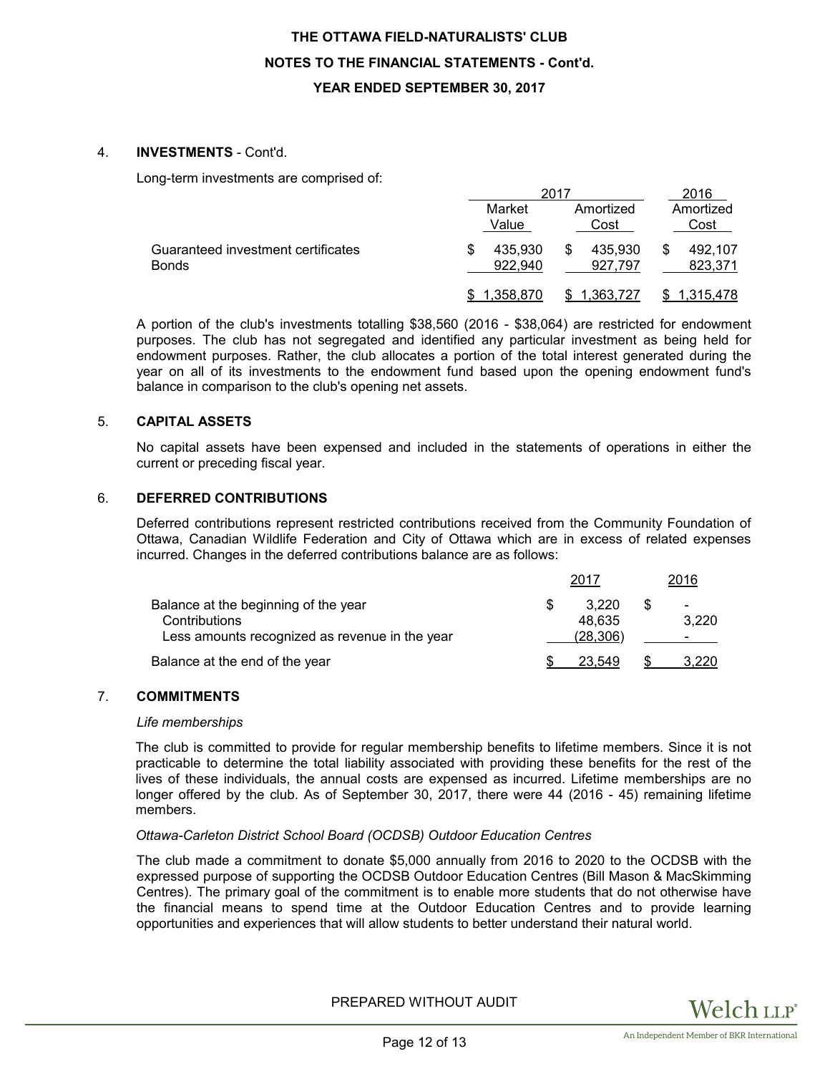#### 4. **INVESTMENTS** - Cont'd.

Long-term investments are comprised of:

|                                                    | 2017               | 2016                    |                    |
|----------------------------------------------------|--------------------|-------------------------|--------------------|
|                                                    | Market<br>Value    | Amortized<br>Cost       | Amortized<br>Cost  |
| Guaranteed investment certificates<br><b>Bonds</b> | 435.930<br>922.940 | 435.930<br>S<br>927.797 | 492.107<br>823,371 |
|                                                    | 1,358,870          | \$1,363,727             | 1.315.478          |

A portion of the club's investments totalling \$38,560 (2016 - \$38,064) are restricted for endowment purposes. The club has not segregated and identified any particular investment as being held for endowment purposes. Rather, the club allocates a portion of the total interest generated during the year on all of its investments to the endowment fund based upon the opening endowment fund's balance in comparison to the club's opening net assets.

#### 5. **CAPITAL ASSETS**

No capital assets have been expensed and included in the statements of operations in either the current or preceding fiscal year.

#### 6. **DEFERRED CONTRIBUTIONS**

Deferred contributions represent restricted contributions received from the Community Foundation of Ottawa, Canadian Wildlife Federation and City of Ottawa which are in excess of related expenses incurred. Changes in the deferred contributions balance are as follows:

|                                                | 2017      | 2016                     |
|------------------------------------------------|-----------|--------------------------|
| Balance at the beginning of the year           | 3.220     | $\qquad \qquad$          |
| Contributions                                  | 48.635    | 3.220                    |
| Less amounts recognized as revenue in the year | (28, 306) | $\overline{\phantom{0}}$ |
| Balance at the end of the year                 | 23.549    | 3.220                    |

#### 7. **COMMITMENTS**

#### *Life memberships*

The club is committed to provide for regular membership benefits to lifetime members. Since it is not practicable to determine the total liability associated with providing these benefits for the rest of the lives of these individuals, the annual costs are expensed as incurred. Lifetime memberships are no longer offered by the club. As of September 30, 2017, there were 44 (2016 - 45) remaining lifetime members.

#### *Ottawa-Carleton District School Board (OCDSB) Outdoor Education Centres*

The club made a commitment to donate \$5,000 annually from 2016 to 2020 to the OCDSB with the expressed purpose of supporting the OCDSB Outdoor Education Centres (Bill Mason & MacSkimming Centres). The primary goal of the commitment is to enable more students that do not otherwise have the financial means to spend time at the Outdoor Education Centres and to provide learning opportunities and experiences that will allow students to better understand their natural world.